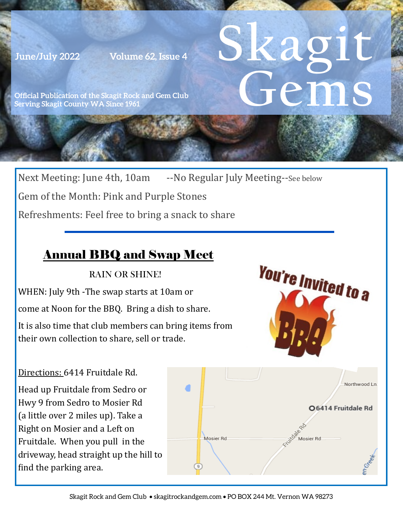**June/July 2022 Volume 62, Issue 4**

# **Skagit Gems**

**Official Publication of the Skagit Rock and Gem Club Serving Skagit County WA Since 1961** 

Next Meeting: June 4th, 10am --No Regular July Meeting--See below Gem of the Month: Pink and Purple Stones Refreshments: Feel free to bring a snack to share

## Annual BBQ and Swap Meet

RAIN OR SHINE!

WHEN: July 9th -The swap starts at 10am or

come at Noon for the BBQ. Bring a dish to share.

It is also time that club members can bring items from their own collection to share, sell or trade.

#### Directions: 6414 Fruitdale Rd.

Head up Fruitdale from Sedro or Hwy 9 from Sedro to Mosier Rd (a little over 2 miles up). Take a Right on Mosier and a Left on Fruitdale. When you pull in the driveway, head straight up the hill to find the parking area.



**You're Invited to a**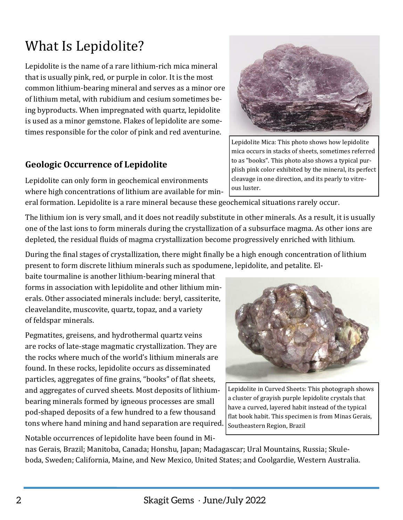# What Is Lepidolite?

Lepidolite is the name of a rare lithium-rich mica mineral that is usually pink, red, or purple in color. It is the most common lithium-bearing mineral and serves as a minor ore of lithium metal, with rubidium and cesium sometimes being byproducts. When impregnated with quartz, lepidolite is used as a minor gemstone. Flakes of lepidolite are sometimes responsible for the color of pink and red aventurine.

#### **Geologic Occurrence of Lepidolite**

Lepidolite can only form in geochemical environments where high concentrations of lithium are available for mineral formation. Lepidolite is a rare mineral because these geochemical situations rarely occur.

The lithium ion is very small, and it does not readily substitute in other minerals. As a result, it is usually one of the last ions to form minerals during the crystallization of a subsurface magma. As other ions are

During the final stages of crystallization, there might finally be a high enough concentration of lithium present to form discrete lithium minerals such as spodumene, lepidolite, and petalite. El-

depleted, the residual fluids of magma crystallization become progressively enriched with lithium.

baite tourmaline is another lithium-bearing mineral that forms in association with lepidolite and other lithium minerals. Other associated minerals include: beryl, cassiterite, cleavelandite, muscovite, quartz, topaz, and a variety of feldspar minerals.

Pegmatites, greisens, and hydrothermal quartz veins are rocks of late-stage magmatic crystallization. They are the rocks where much of the world's lithium minerals are found. In these rocks, lepidolite occurs as disseminated particles, aggregates of fine grains, "books" of flat sheets, and aggregates of curved sheets. Most deposits of lithiumbearing minerals formed by igneous processes are small pod-shaped deposits of a few hundred to a few thousand tons where hand mining and hand separation are required.

Notable occurrences of lepidolite have been found in Minas Gerais, Brazil; Manitoba, Canada; Honshu, Japan; Madagascar; Ural Mountains, Russia; Skule-

boda, Sweden; California, Maine, and New Mexico, United States; and Coolgardie, Western Australia.

Lepidolite in Curved Sheets: This photograph shows a cluster of grayish purple lepidolite crystals that have a curved, layered habit instead of the typical flat book habit. This specimen is from Minas Gerais, Southeastern Region, Brazil



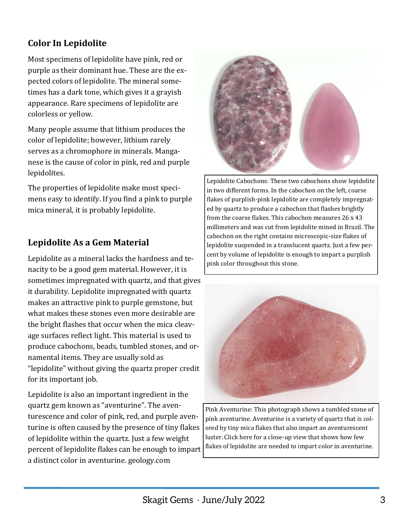### **Color In Lepidolite**

Most specimens of lepidolite have pink, red or purple as their dominant hue. These are the expected colors of lepidolite. The mineral sometimes has a dark tone, which gives it a grayish appearance. Rare specimens of lepidolite are colorless or yellow.

Many people assume that lithium produces the color of lepidolite; however, lithium rarely serves as a chromophore in minerals. Manganese is the cause of color in pink, red and purple lepidolites.

The properties of lepidolite make most specimens easy to identify. If you find a pink to purple mica mineral, it is probably lepidolite.

#### **Lepidolite As a Gem Material**

Lepidolite as a mineral lacks the hardness and tenacity to be a good gem material. However, it is sometimes impregnated with quartz, and that gives it durability. Lepidolite impregnated with quartz makes an attractive pink to purple gemstone, but what makes these stones even more desirable are the bright flashes that occur when the mica cleavage surfaces reflect light. This material is used to produce cabochons, beads, tumbled stones, and ornamental items. They are usually sold as "lepidolite" without giving the quartz proper credit for its important job.

Lepidolite is also an important ingredient in the quartz gem known as "aventurine". The aventurescence and color of pink, red, and purple aventurine is often caused by the presence of tiny flakes of lepidolite within the quartz. Just a few weight percent of lepidolite flakes can be enough to impart a distinct color in aventurine. geology.com



Lepidolite Cabochons: These two cabochons show lepidolite in two different forms. In the cabochon on the left, coarse flakes of purplish-pink lepidolite are completely impregnated by quartz to produce a cabochon that flashes brightly from the coarse flakes. This cabochon measures 26 x 43 millimeters and was cut from lepidolite mined in Brazil. The cabochon on the right contains microscopic-size flakes of lepidolite suspended in a translucent quartz. Just a few percent by volume of lepidolite is enough to impart a purplish pink color throughout this stone.



Pink Aventurine: This photograph shows a tumbled stone of pink aventurine. Aventurine is a variety of quartz that is colored by tiny mica flakes that also impart an aventurescent luster. Click here for a close-up view that shows how few flakes of lepidolite are needed to impart color in aventurine.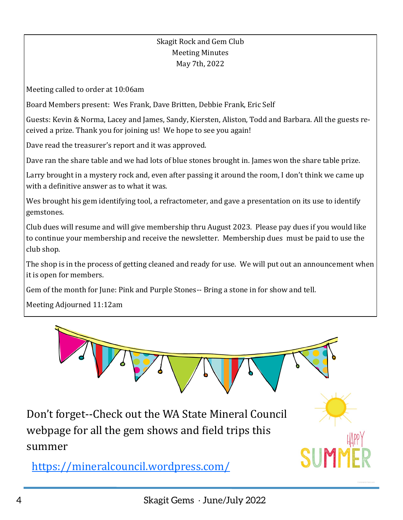#### Skagit Rock and Gem Club Meeting Minutes May 7th, 2022

<span id="page-3-0"></span>Meeting called to order at 10:06am

Board Members present: Wes Frank, Dave Britten, Debbie Frank, Eric Self

Guests: Kevin & Norma, Lacey and James, Sandy, Kiersten, Aliston, Todd and Barbara. All the guests received a prize. Thank you for joining us! We hope to see you again!

Dave read the treasurer's report and it was approved.

Dave ran the share table and we had lots of blue stones brought in. James won the share table prize.

Larry brought in a mystery rock and, even after passing it around the room, I don't think we came up with a definitive answer as to what it was.

Wes brought his gem identifying tool, a refractometer, and gave a presentation on its use to identify gemstones.

Club dues will resume and will give membership thru August 2023. Please pay dues if you would like to continue your membership and receive the newsletter. Membership dues must be paid to use the club shop.

The shop is in the process of getting cleaned and ready for use. We will put out an announcement when it is open for members.

Gem of the month for June: Pink and Purple Stones-- Bring a stone in for show and tell.

Meeting Adjourned 11:12am

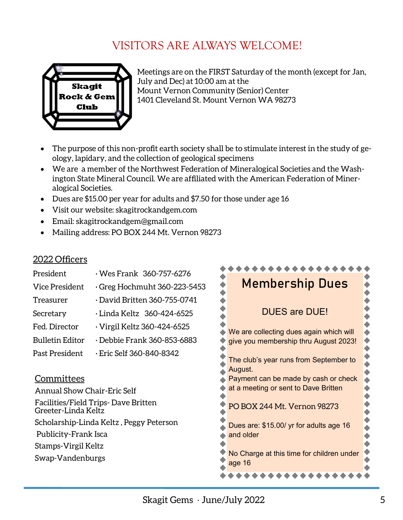# VISITORS ARE ALWAYS WELCOME!



Meetings are on the FIRST Saturday of the month (except for Jan, July and Dec) at 10:00 am at the Mount Vernon Community (Senior) Center 1401 Cleveland St. Mount Vernon WA 98273

- The purpose of this non-profit earth society shall be to stimulate interest in the study of geology, lapidary, and the collection of geological specimens
- We are a member of the Northwest Federation of Mineralogical Societies and the Washington State Mineral Council. We are affiliated with the American Federation of Mineralogical Societies.
- Dues are \$15.00 per year for adults and \$7.50 for those under age 16
- Visit our website: skagitrockandgem.com
- Email: skagitrockandgem@gmail.com
- Mailing address: PO BOX 244 Mt. Vernon 98273

#### 2022 Officers

| President                                                  | Wes Frank 360-757-6276             |                                                     |  |
|------------------------------------------------------------|------------------------------------|-----------------------------------------------------|--|
|                                                            |                                    | <b>Membership Dues</b>                              |  |
| Vice President                                             | Greg Hochmuht 360-223-5453         |                                                     |  |
| Treasurer                                                  | $\cdot$ David Britten 360-755-0741 |                                                     |  |
| Secretary                                                  | Linda Keltz 360-424-6525 .         | <b>DUES are DUE!</b>                                |  |
| Fed. Director                                              | · Virgil Keltz 360-424-6525        | We are collecting dues again which will             |  |
| <b>Bulletin Editor</b>                                     | $\cdot$ Debbie Frank 360-853-6883  | give you membership thru August 2023!               |  |
| Past President                                             | Eric Self 360-840-8342 .           | The club's year runs from September to<br>August.   |  |
| Committees                                                 |                                    | Payment can be made by cash or check                |  |
| <b>Annual Show Chair-Eric Self</b>                         |                                    | at a meeting or sent to Dave Britten                |  |
| Facilities/Field Trips-Dave Britten<br>Greeter-Linda Keltz |                                    | PO BOX 244 Mt. Vernon 98273                         |  |
| Scholarship-Linda Keltz, Peggy Peterson                    |                                    | Dues are: \$15.00/ yr for adults age 16             |  |
| Publicity-Frank Isca                                       |                                    | and older                                           |  |
| Stamps-Virgil Keltz                                        |                                    |                                                     |  |
| Swap-Vandenburgs                                           |                                    | No Charge at this time for children under<br>age 16 |  |
|                                                            |                                    |                                                     |  |